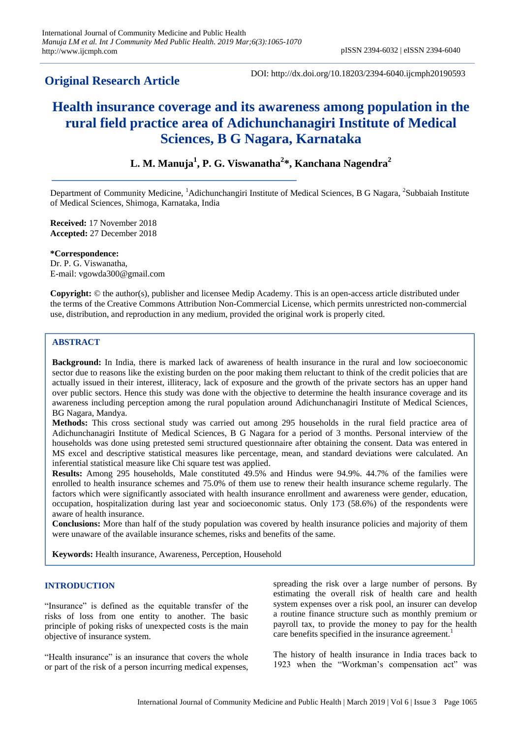# **Original Research Article**

DOI: http://dx.doi.org/10.18203/2394-6040.ijcmph20190593

# **Health insurance coverage and its awareness among population in the rural field practice area of Adichunchanagiri Institute of Medical Sciences, B G Nagara, Karnataka**

## **L. M. Manuja<sup>1</sup> , P. G. Viswanatha<sup>2</sup> \*, Kanchana Nagendra<sup>2</sup>**

Department of Community Medicine, <sup>1</sup>Adichunchangiri Institute of Medical Sciences, B G Nagara, <sup>2</sup>Subbaiah Institute of Medical Sciences, Shimoga, Karnataka, India

**Received:** 17 November 2018 **Accepted:** 27 December 2018

**\*Correspondence:** Dr. P. G. Viswanatha, E-mail: vgowda300@gmail.com

**Copyright:** © the author(s), publisher and licensee Medip Academy. This is an open-access article distributed under the terms of the Creative Commons Attribution Non-Commercial License, which permits unrestricted non-commercial use, distribution, and reproduction in any medium, provided the original work is properly cited.

## **ABSTRACT**

**Background:** In India, there is marked lack of awareness of health insurance in the rural and low socioeconomic sector due to reasons like the existing burden on the poor making them reluctant to think of the credit policies that are actually issued in their interest, illiteracy, lack of exposure and the growth of the private sectors has an upper hand over public sectors. Hence this study was done with the objective to determine the health insurance coverage and its awareness including perception among the rural population around Adichunchanagiri Institute of Medical Sciences, BG Nagara, Mandya.

**Methods:** This cross sectional study was carried out among 295 households in the rural field practice area of Adichunchanagiri Institute of Medical Sciences, B G Nagara for a period of 3 months. Personal interview of the households was done using pretested semi structured questionnaire after obtaining the consent. Data was entered in MS excel and descriptive statistical measures like percentage, mean, and standard deviations were calculated. An inferential statistical measure like Chi square test was applied.

**Results:** Among 295 households, Male constituted 49.5% and Hindus were 94.9%. 44.7% of the families were enrolled to health insurance schemes and 75.0% of them use to renew their health insurance scheme regularly. The factors which were significantly associated with health insurance enrollment and awareness were gender, education, occupation, hospitalization during last year and socioeconomic status. Only 173 (58.6%) of the respondents were aware of health insurance.

**Conclusions:** More than half of the study population was covered by health insurance policies and majority of them were unaware of the available insurance schemes, risks and benefits of the same.

**Keywords:** Health insurance, Awareness, Perception, Household

### **INTRODUCTION**

"Insurance" is defined as the equitable transfer of the risks of loss from one entity to another. The basic principle of poking risks of unexpected costs is the main objective of insurance system.

"Health insurance" is an insurance that covers the whole or part of the risk of a person incurring medical expenses, spreading the risk over a large number of persons. By estimating the overall risk of health care and health system expenses over a risk pool, an insurer can develop a routine finance structure such as monthly premium or payroll tax, to provide the money to pay for the health care benefits specified in the insurance agreement.<sup>1</sup>

The history of health insurance in India traces back to 1923 when the "Workman's compensation act" was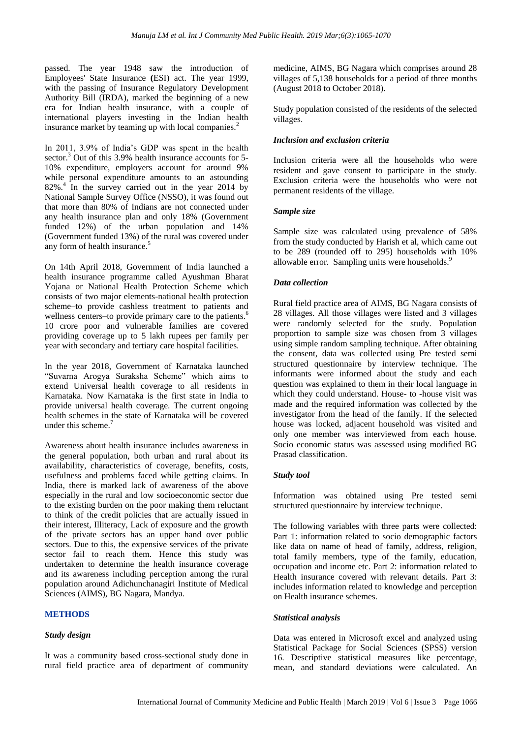passed. The year 1948 saw the introduction of Employees' State Insurance **(**ESI) act. The year 1999, with the passing of Insurance Regulatory Development Authority Bill (IRDA), marked the beginning of a new era for Indian health insurance, with a couple of international players investing in the Indian health insurance market by teaming up with local companies.<sup>2</sup>

In 2011, 3.9% of India's GDP was spent in the health sector.<sup>3</sup> Out of this 3.9% health insurance accounts for 5-10% expenditure, employers account for around 9% while personal expenditure amounts to an astounding 82%.<sup>4</sup> In the survey carried out in the year 2014 by National Sample Survey Office (NSSO), it was found out that more than 80% of Indians are not connected under any health insurance plan and only 18% (Government funded 12%) of the urban population and 14% (Government funded 13%) of the rural was covered under any form of health insurance.<sup>5</sup>

On 14th April 2018, Government of India launched a health insurance programme called Ayushman Bharat Yojana or National Health Protection Scheme which consists of two major elements-national health protection scheme–to provide cashless treatment to patients and wellness centers–to provide primary care to the patients.<sup>6</sup> 10 crore poor and vulnerable families are covered providing coverage up to 5 lakh rupees per family per year with secondary and tertiary care hospital facilities.

In the year 2018, Government of Karnataka launched "Suvarna Arogya Suraksha Scheme" which aims to extend Universal health coverage to all residents in Karnataka. Now Karnataka is the first state in India to provide universal health coverage. The current ongoing health schemes in the state of Karnataka will be covered under this scheme.<sup>7</sup>

Awareness about health insurance includes awareness in the general population, both urban and rural about its availability, characteristics of coverage, benefits, costs, usefulness and problems faced while getting claims. In India, there is marked lack of awareness of the above especially in the rural and low socioeconomic sector due to the existing burden on the poor making them reluctant to think of the credit policies that are actually issued in their interest, Illiteracy, Lack of exposure and the growth of the private sectors has an upper hand over public sectors. Due to this, the expensive services of the private sector fail to reach them. Hence this study was undertaken to determine the health insurance coverage and its awareness including perception among the rural population around Adichunchanagiri Institute of Medical Sciences (AIMS), BG Nagara, Mandya.

#### **METHODS**

#### *Study design*

It was a community based cross-sectional study done in rural field practice area of department of community medicine, AIMS, BG Nagara which comprises around 28 villages of 5,138 households for a period of three months (August 2018 to October 2018).

Study population consisted of the residents of the selected villages.

#### *Inclusion and exclusion criteria*

Inclusion criteria were all the households who were resident and gave consent to participate in the study. Exclusion criteria were the households who were not permanent residents of the village.

#### *Sample size*

Sample size was calculated using prevalence of 58% from the study conducted by Harish et al, which came out to be 289 (rounded off to 295) households with 10% allowable error. Sampling units were households.<sup>9</sup>

#### *Data collection*

Rural field practice area of AIMS, BG Nagara consists of 28 villages. All those villages were listed and 3 villages were randomly selected for the study. Population proportion to sample size was chosen from 3 villages using simple random sampling technique. After obtaining the consent, data was collected using Pre tested semi structured questionnaire by interview technique. The informants were informed about the study and each question was explained to them in their local language in which they could understand. House- to -house visit was made and the required information was collected by the investigator from the head of the family. If the selected house was locked, adjacent household was visited and only one member was interviewed from each house. Socio economic status was assessed using modified BG Prasad classification.

#### *Study tool*

Information was obtained using Pre tested semi structured questionnaire by interview technique.

The following variables with three parts were collected: Part 1: information related to socio demographic factors like data on name of head of family, address, religion, total family members, type of the family, education, occupation and income etc. Part 2: information related to Health insurance covered with relevant details. Part 3: includes information related to knowledge and perception on Health insurance schemes.

#### *Statistical analysis*

Data was entered in Microsoft excel and analyzed using Statistical Package for Social Sciences (SPSS) version 16. Descriptive statistical measures like percentage, mean, and standard deviations were calculated. An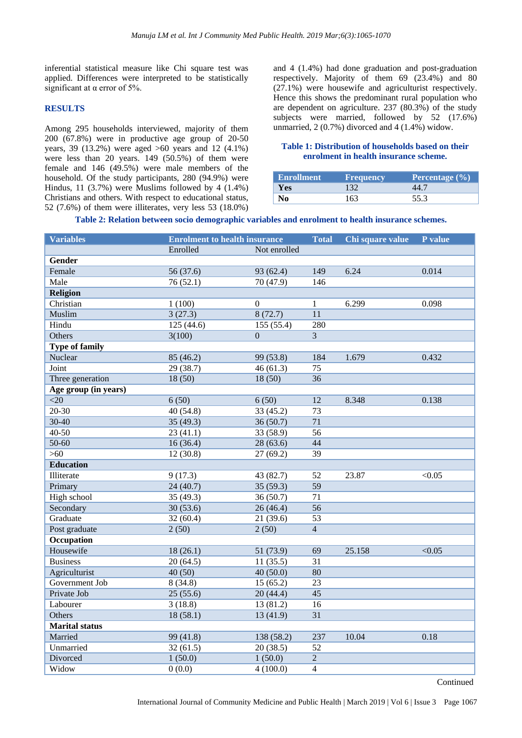inferential statistical measure like Chi square test was applied. Differences were interpreted to be statistically significant at  $\alpha$  error of 5%.

#### **RESULTS**

Among 295 households interviewed, majority of them 200 (67.8%) were in productive age group of 20-50 years, 39 (13.2%) were aged >60 years and 12 (4.1%) were less than 20 years. 149 (50.5%) of them were female and 146 (49.5%) were male members of the household. Of the study participants, 280 (94.9%) were Hindus, 11 (3.7%) were Muslims followed by 4 (1.4%) Christians and others. With respect to educational status, 52 (7.6%) of them were illiterates, very less 53 (18.0%) and 4 (1.4%) had done graduation and post-graduation respectively. Majority of them 69 (23.4%) and 80 (27.1%) were housewife and agriculturist respectively. Hence this shows the predominant rural population who are dependent on agriculture. 237 (80.3%) of the study subjects were married, followed by 52 (17.6%) unmarried, 2 (0.7%) divorced and 4 (1.4%) widow.

#### **Table 1: Distribution of households based on their enrolment in health insurance scheme.**

| <b>Enrollment</b> | <b>Frequency</b> | Percentage $(\% )$ |
|-------------------|------------------|--------------------|
| Yes               |                  | 44 ^               |
| No.               | 163              | 55.3               |

**Table 2: Relation between socio demographic variables and enrolment to health insurance schemes.**

| <b>Variables</b>      | <b>Enrolment to health insurance</b> |                  | <b>Total</b>     | Chi square value | P value |
|-----------------------|--------------------------------------|------------------|------------------|------------------|---------|
|                       | Enrolled                             | Not enrolled     |                  |                  |         |
| <b>Gender</b>         |                                      |                  |                  |                  |         |
| Female                | 56 (37.6)                            | 93 (62.4)        | 149              | 6.24             | 0.014   |
| Male                  | 76(52.1)                             | 70(47.9)         | $\overline{146}$ |                  |         |
| <b>Religion</b>       |                                      |                  |                  |                  |         |
| Christian             | 1(100)                               | $\boldsymbol{0}$ | 1                | 6.299            | 0.098   |
| Muslim                | 3(27.3)                              | 8(72.7)          | 11               |                  |         |
| Hindu                 | 125(44.6)                            | 155 (55.4)       | 280              |                  |         |
| Others                | 3(100)                               | $\overline{0}$   | $\overline{3}$   |                  |         |
| <b>Type of family</b> |                                      |                  |                  |                  |         |
| Nuclear               | 85 (46.2)                            | 99 (53.8)        | 184              | 1.679            | 0.432   |
| Joint                 | 29(38.7)                             | 46(61.3)         | $\overline{75}$  |                  |         |
| Three generation      | 18(50)                               | 18(50)           | 36               |                  |         |
| Age group (in years)  |                                      |                  |                  |                  |         |
| $<$ 20                | 6(50)                                | 6(50)            | 12               | 8.348            | 0.138   |
| 20-30                 | 40(54.8)                             | 33 (45.2)        | 73               |                  |         |
| 30-40                 | 35(49.3)                             | 36(50.7)         | 71               |                  |         |
| $40 - 50$             | 23(41.1)                             | 33 (58.9)        | 56               |                  |         |
| 50-60                 | 16(36.4)                             | 28(63.6)         | 44               |                  |         |
| $>60$                 | 12(30.8)                             | 27(69.2)         | 39               |                  |         |
| <b>Education</b>      |                                      |                  |                  |                  |         |
| Illiterate            | 9(17.3)                              | 43 (82.7)        | 52               | 23.87            | < 0.05  |
| Primary               | 24(40.7)                             | 35(59.3)         | $\overline{59}$  |                  |         |
| High school           | 35 (49.3)                            | 36(50.7)         | 71               |                  |         |
| Secondary             | 30(53.6)                             | 26(46.4)         | 56               |                  |         |
| Graduate              | 32(60.4)                             | 21 (39.6)        | 53               |                  |         |
| Post graduate         | 2(50)                                | 2(50)            | $\overline{4}$   |                  |         |
| <b>Occupation</b>     |                                      |                  |                  |                  |         |
| Housewife             | 18(26.1)                             | 51 (73.9)        | 69               | 25.158           | < 0.05  |
| <b>Business</b>       | 20(64.5)                             | 11(35.5)         | 31               |                  |         |
| Agriculturist         | 40(50)                               | 40(50.0)         | 80               |                  |         |
| Government Job        | 8(34.8)                              | 15(65.2)         | 23               |                  |         |
| Private Job           | 25(55.6)                             | 20 (44.4)        | 45               |                  |         |
| Labourer              | 3(18.8)                              | 13 (81.2)        | 16               |                  |         |
| Others                | 18(58.1)                             | 13(41.9)         | 31               |                  |         |
| <b>Marital status</b> |                                      |                  |                  |                  |         |
| Married               | 99 (41.8)                            | 138 (58.2)       | 237              | 10.04            | 0.18    |
| Unmarried             | 32(61.5)                             | 20(38.5)         | $\overline{52}$  |                  |         |
| Divorced              | 1(50.0)                              | 1(50.0)          | $\overline{2}$   |                  |         |
| Widow                 | 0(0.0)                               | 4(100.0)         | $\overline{4}$   |                  |         |

Continued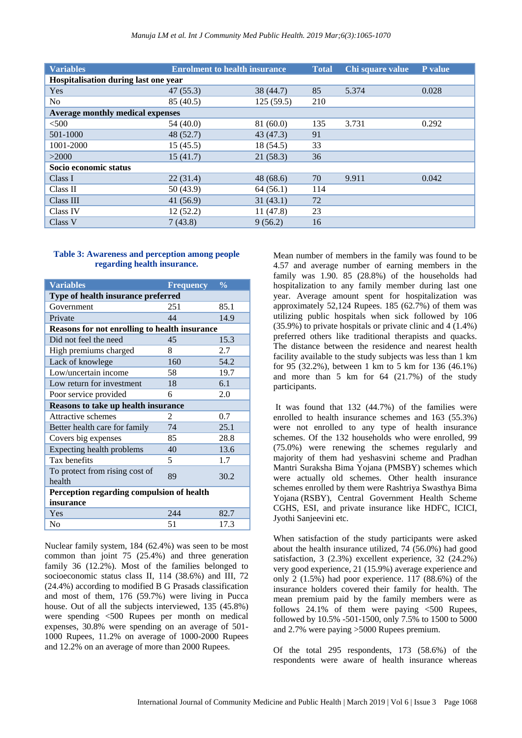| <b>Variables</b>                        | <b>Enrolment to health insurance</b> |           | <b>Total</b> | Chi square value | P value |  |
|-----------------------------------------|--------------------------------------|-----------|--------------|------------------|---------|--|
| Hospitalisation during last one year    |                                      |           |              |                  |         |  |
| Yes                                     | 47(55.3)                             | 38 (44.7) | 85           | 5.374            | 0.028   |  |
| No.                                     | 85 (40.5)                            | 125(59.5) | 210          |                  |         |  |
| <b>Average monthly medical expenses</b> |                                      |           |              |                  |         |  |
| $<$ 500                                 | 54(40.0)                             | 81(60.0)  | 135          | 3.731            | 0.292   |  |
| 501-1000                                | 48(52.7)                             | 43 (47.3) | 91           |                  |         |  |
| 1001-2000                               | 15(45.5)                             | 18 (54.5) | 33           |                  |         |  |
| >2000                                   | 15(41.7)                             | 21(58.3)  | 36           |                  |         |  |
| Socio economic status                   |                                      |           |              |                  |         |  |
| Class I                                 | 22(31.4)                             | 48 (68.6) | 70           | 9.911            | 0.042   |  |
| Class II                                | 50(43.9)                             | 64(56.1)  | 114          |                  |         |  |
| Class III                               | 41(56.9)                             | 31(43.1)  | 72           |                  |         |  |
| Class IV                                | 12(52.2)                             | 11(47.8)  | 23           |                  |         |  |
| Class V                                 | 7(43.8)                              | 9(56.2)   | 16           |                  |         |  |

#### **Table 3: Awareness and perception among people regarding health insurance.**

| <b>Variables</b>                                     | <b>Frequency</b> | $\frac{0}{\alpha}$ |  |  |  |
|------------------------------------------------------|------------------|--------------------|--|--|--|
| Type of health insurance preferred                   |                  |                    |  |  |  |
| Government                                           | 251              | 85.1               |  |  |  |
| Private                                              | 44               | 14.9               |  |  |  |
| <b>Reasons for not enrolling to health insurance</b> |                  |                    |  |  |  |
| Did not feel the need                                | 45               | 15.3               |  |  |  |
| High premiums charged                                | 8                | 2.7                |  |  |  |
| Lack of knowlege                                     | 160              | 54.2               |  |  |  |
| Low/uncertain income                                 | 58               | 19.7               |  |  |  |
| Low return for investment                            | 18               | 6.1                |  |  |  |
| Poor service provided                                | 6                | 2.0                |  |  |  |
| Reasons to take up health insurance                  |                  |                    |  |  |  |
| Attractive schemes                                   | 2                | 0.7                |  |  |  |
| Better health care for family                        | 74               | 25.1               |  |  |  |
| Covers big expenses                                  | 85               | 28.8               |  |  |  |
| Expecting health problems                            | 40               | 13.6               |  |  |  |
| Tax benefits                                         | 5                | 1.7                |  |  |  |
| To protect from rising cost of<br>health             | 89               | 30.2               |  |  |  |
| Perception regarding compulsion of health            |                  |                    |  |  |  |
| insurance                                            |                  |                    |  |  |  |
| Yes                                                  | 244              | 82.7               |  |  |  |
| No                                                   | 51               | 17.3               |  |  |  |

Nuclear family system, 184 (62.4%) was seen to be most common than joint 75 (25.4%) and three generation family 36 (12.2%). Most of the families belonged to socioeconomic status class II, 114 (38.6%) and III, 72 (24.4%) according to modified B G Prasads classification and most of them, 176 (59.7%) were living in Pucca house. Out of all the subjects interviewed, 135 (45.8%) were spending <500 Rupees per month on medical expenses, 30.8% were spending on an average of 501- 1000 Rupees, 11.2% on average of 1000-2000 Rupees and 12.2% on an average of more than 2000 Rupees.

Mean number of members in the family was found to be 4.57 and average number of earning members in the family was 1.90. 85 (28.8%) of the households had hospitalization to any family member during last one year. Average amount spent for hospitalization was approximately 52,124 Rupees. 185 (62.7%) of them was utilizing public hospitals when sick followed by 106 (35.9%) to private hospitals or private clinic and 4 (1.4%) preferred others like traditional therapists and quacks. The distance between the residence and nearest health facility available to the study subjects was less than 1 km for 95 (32.2%), between 1 km to 5 km for 136 (46.1%) and more than 5 km for 64 (21.7%) of the study participants.

It was found that 132 (44.7%) of the families were enrolled to health insurance schemes and 163 (55.3%) were not enrolled to any type of health insurance schemes. Of the 132 households who were enrolled, 99 (75.0%) were renewing the schemes regularly and majority of them had yeshasvini scheme and Pradhan Mantri Suraksha Bima Yojana (PMSBY) schemes which were actually old schemes. Other health insurance schemes enrolled by them were Rashtriya Swasthya Bima Yojana (RSBY), Central Government Health Scheme CGHS, ESI, and private insurance like HDFC, ICICI, Jyothi Sanjeevini etc.

When satisfaction of the study participants were asked about the health insurance utilized, 74 (56.0%) had good satisfaction, 3 (2.3%) excellent experience, 32 (24.2%) very good experience, 21 (15.9%) average experience and only 2 (1.5%) had poor experience. 117 (88.6%) of the insurance holders covered their family for health. The mean premium paid by the family members were as follows  $24.1\%$  of them were paying  $\leq 500$  Rupees, followed by 10.5% -501-1500, only 7.5% to 1500 to 5000 and 2.7% were paying >5000 Rupees premium.

Of the total 295 respondents, 173 (58.6%) of the respondents were aware of health insurance whereas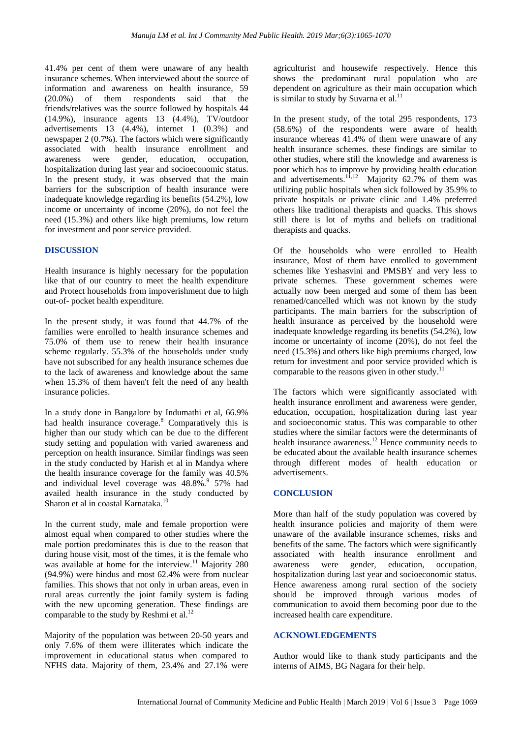41.4% per cent of them were unaware of any health insurance schemes. When interviewed about the source of information and awareness on health insurance, 59 (20.0%) of them respondents said that the friends/relatives was the source followed by hospitals 44 (14.9%), insurance agents 13 (4.4%), TV/outdoor advertisements 13 (4.4%), internet 1 (0.3%) and newspaper 2 (0.7%). The factors which were significantly associated with health insurance enrollment and awareness were gender, education, occupation, hospitalization during last year and socioeconomic status. In the present study, it was observed that the main barriers for the subscription of health insurance were inadequate knowledge regarding its benefits (54.2%), low income or uncertainty of income (20%), do not feel the need (15.3%) and others like high premiums, low return for investment and poor service provided.

#### **DISCUSSION**

Health insurance is highly necessary for the population like that of our country to meet the health expenditure and Protect households from impoverishment due to high out-of- pocket health expenditure.

In the present study, it was found that 44.7% of the families were enrolled to health insurance schemes and 75.0% of them use to renew their health insurance scheme regularly. 55.3% of the households under study have not subscribed for any health insurance schemes due to the lack of awareness and knowledge about the same when 15.3% of them haven't felt the need of any health insurance policies.

In a study done in Bangalore by Indumathi et al, 66.9% had health insurance coverage.<sup>8</sup> Comparatively this is higher than our study which can be due to the different study setting and population with varied awareness and perception on health insurance. Similar findings was seen in the study conducted by Harish et al in Mandya where the health insurance coverage for the family was 40.5% and individual level coverage was 48.8%.<sup>9</sup> 57% had availed health insurance in the study conducted by Sharon et al in coastal Karnataka.<sup>10</sup>

In the current study, male and female proportion were almost equal when compared to other studies where the male portion predominates this is due to the reason that during house visit, most of the times, it is the female who was available at home for the interview.<sup>11</sup> Majority 280 (94.9%) were hindus and most 62.4% were from nuclear families. This shows that not only in urban areas, even in rural areas currently the joint family system is fading with the new upcoming generation. These findings are comparable to the study by Reshmi et al.<sup>12</sup>

Majority of the population was between 20-50 years and only 7.6% of them were illiterates which indicate the improvement in educational status when compared to NFHS data. Majority of them, 23.4% and 27.1% were agriculturist and housewife respectively. Hence this shows the predominant rural population who are dependent on agriculture as their main occupation which is similar to study by Suvarna et al.<sup>11</sup>

In the present study, of the total 295 respondents, 173 (58.6%) of the respondents were aware of health insurance whereas 41.4% of them were unaware of any health insurance schemes. these findings are similar to other studies, where still the knowledge and awareness is poor which has to improve by providing health education and advertisements.<sup>11,12</sup> Majority 62.7% of them was utilizing public hospitals when sick followed by 35.9% to private hospitals or private clinic and 1.4% preferred others like traditional therapists and quacks. This shows still there is lot of myths and beliefs on traditional therapists and quacks.

Of the households who were enrolled to Health insurance, Most of them have enrolled to government schemes like Yeshasvini and PMSBY and very less to private schemes. These government schemes were actually now been merged and some of them has been renamed/cancelled which was not known by the study participants. The main barriers for the subscription of health insurance as perceived by the household were inadequate knowledge regarding its benefits (54.2%), low income or uncertainty of income (20%), do not feel the need (15.3%) and others like high premiums charged, low return for investment and poor service provided which is comparable to the reasons given in other study.<sup>11</sup>

The factors which were significantly associated with health insurance enrollment and awareness were gender, education, occupation, hospitalization during last year and socioeconomic status. This was comparable to other studies where the similar factors were the determinants of health insurance awareness.<sup>12</sup> Hence community needs to be educated about the available health insurance schemes through different modes of health education or advertisements.

#### **CONCLUSION**

More than half of the study population was covered by health insurance policies and majority of them were unaware of the available insurance schemes, risks and benefits of the same. The factors which were significantly associated with health insurance enrollment and awareness were gender, education, occupation, hospitalization during last year and socioeconomic status. Hence awareness among rural section of the society should be improved through various modes of communication to avoid them becoming poor due to the increased health care expenditure.

#### **ACKNOWLEDGEMENTS**

Author would like to thank study participants and the interns of AIMS, BG Nagara for their help.